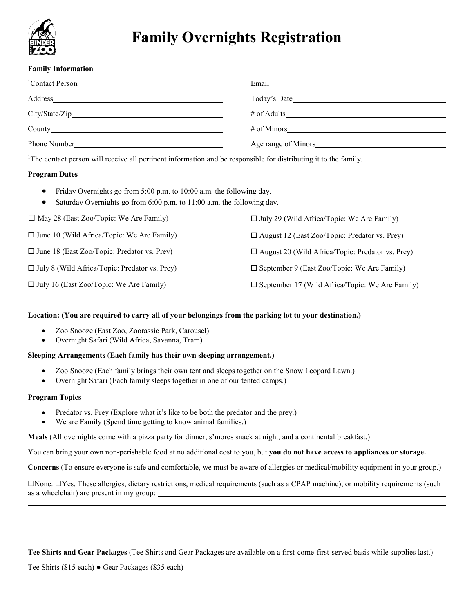

# **Family Overnights Registration**

## **Family Information**

| Address<br><u> 1989 - Johann Barnett, fransk politiker (d. 1989)</u> |  |
|----------------------------------------------------------------------|--|
|                                                                      |  |
|                                                                      |  |
|                                                                      |  |

1 The contact person will receive all pertinent information and be responsible for distributing it to the family.

# **Program Dates**

- Friday Overnights go from 5:00 p.m. to 10:00 a.m. the following day.
- Saturday Overnights go from 6:00 p.m. to 11:00 a.m. the following day.

| $\Box$ May 28 (East Zoo/Topic: We Are Family)        | $\Box$ July 29 (Wild Africa/Topic: We Are Family)         |
|------------------------------------------------------|-----------------------------------------------------------|
| $\Box$ June 10 (Wild Africa/Topic: We Are Family)    | $\Box$ August 12 (East Zoo/Topic: Predator vs. Prey)      |
| $\Box$ June 18 (East Zoo/Topic: Predator vs. Prey)   | $\Box$ August 20 (Wild Africa/Topic: Predator vs. Prey)   |
| $\Box$ July 8 (Wild Africa/Topic: Predator vs. Prey) | $\Box$ September 9 (East Zoo/Topic: We Are Family)        |
| $\Box$ July 16 (East Zoo/Topic: We Are Family)       | $\square$ September 17 (Wild Africa/Topic: We Are Family) |

# **Location: (You are required to carry all of your belongings from the parking lot to your destination.)**

- Zoo Snooze (East Zoo, Zoorassic Park, Carousel)
- Overnight Safari (Wild Africa, Savanna, Tram)

## **Sleeping Arrangements** (**Each family has their own sleeping arrangement.)**

- Zoo Snooze (Each family brings their own tent and sleeps together on the Snow Leopard Lawn.)
- Overnight Safari (Each family sleeps together in one of our tented camps.)

## **Program Topics**

- Predator vs. Prey (Explore what it's like to be both the predator and the prey.)
- We are Family (Spend time getting to know animal families.)

**Meals** (All overnights come with a pizza party for dinner, s'mores snack at night, and a continental breakfast.)

You can bring your own non-perishable food at no additional cost to you, but **you do not have access to appliances or storage.**

**Concerns** (To ensure everyone is safe and comfortable, we must be aware of allergies or medical/mobility equipment in your group.)

☐None. ☐Yes. These allergies, dietary restrictions, medical requirements (such as a CPAP machine), or mobility requirements (such as a wheelchair) are present in my group:

**Tee Shirts and Gear Packages** (Tee Shirts and Gear Packages are available on a first-come-first-served basis while supplies last.)

Tee Shirts (\$15 each) ● Gear Packages (\$35 each)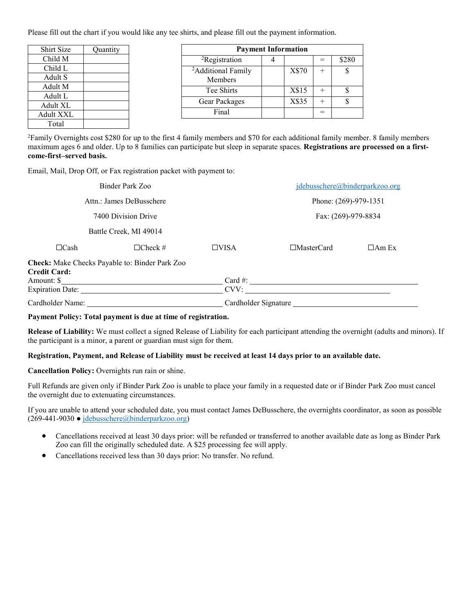Please fill out the chart if you would like any tee shirts, and please fill out the payment information.

| Shirt Size | Quantity | <b>Payment Information</b>     |  |       |        |       |
|------------|----------|--------------------------------|--|-------|--------|-------|
| Child M    |          | <sup>2</sup> Registration      |  |       | $=$    | \$280 |
| Child L    |          | <sup>2</sup> Additional Family |  | X\$70 | $^+$   | \$    |
| Adult S    |          | Members                        |  |       |        |       |
| Adult M    |          | Tee Shirts                     |  | X\$15 | $^+$   |       |
| Adult L    |          |                                |  |       |        |       |
| Adult XL   |          | Gear Packages                  |  | X\$35 | $^{+}$ | \$    |
| Adult XXL  |          | Final                          |  |       | $=$    |       |
| Total      |          |                                |  |       |        |       |

2 Family Overnights cost \$280 for up to the first 4 family members and \$70 for each additional family member. 8 family members maximum ages 6 and older. Up to 8 families can participate but sleep in separate spaces. **Registrations are processed on a firstcome-first–served basis.**

Email, Mail, Drop Off, or Fax registration packet with payment to:

| Binder Park Zoo                   |                                                |                       | jdebusschere@binderparkzoo.org |              |  |
|-----------------------------------|------------------------------------------------|-----------------------|--------------------------------|--------------|--|
|                                   | Attn.: James DeBusschere                       | Phone: (269)-979-1351 |                                |              |  |
|                                   | 7400 Division Drive                            |                       | Fax: (269)-979-8834            |              |  |
|                                   | Battle Creek, MI 49014                         |                       |                                |              |  |
| $\Box$ Cash                       | $\Box$ Check #                                 | $\square$ VISA        | $\Box$ MasterCard              | $\Box$ Am Ex |  |
| <b>Credit Card:</b><br>Amount: \$ | Check: Make Checks Payable to: Binder Park Zoo |                       |                                |              |  |
| Expiration Date:                  |                                                | CVV:                  |                                |              |  |
| Cardholder Name:                  |                                                |                       | Cardholder Signature           |              |  |

#### **Payment Policy: Total payment is due at time of registration.**

**Release of Liability:** We must collect a signed Release of Liability for each participant attending the overnight (adults and minors). If the participant is a minor, a parent or guardian must sign for them.

## **Registration, Payment, and Release of Liability must be received at least 14 days prior to an available date.**

**Cancellation Policy:** Overnights run rain or shine.

Full Refunds are given only if Binder Park Zoo is unable to place your family in a requested date or if Binder Park Zoo must cancel the overnight due to extenuating circumstances.

If you are unable to attend your scheduled date, you must contact James DeBusschere, the overnights coordinator, as soon as possible (269-441-9030 ● [jdebusschere@binderparkzoo.org\)](mailto:jdebusschere@binderparkzoo.org)

- Cancellations received at least 30 days prior: will be refunded or transferred to another available date as long as Binder Park Zoo can fill the originally scheduled date. A \$25 processing fee will apply.
- Cancellations received less than 30 days prior: No transfer. No refund.